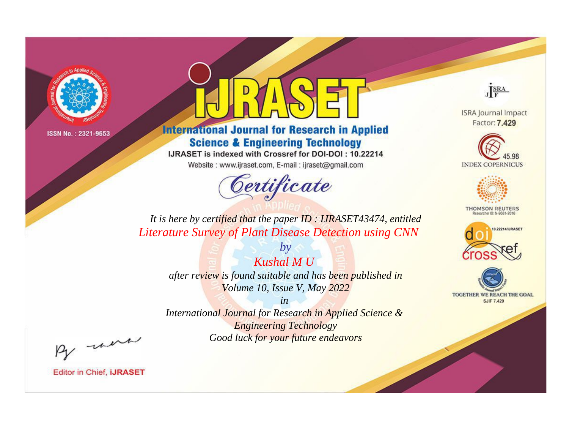

# **International Journal for Research in Applied Science & Engineering Technology**

IJRASET is indexed with Crossref for DOI-DOI: 10.22214

Website: www.ijraset.com, E-mail: ijraset@gmail.com



JERA

**ISRA Journal Impact** Factor: 7.429





**THOMSON REUTERS** 



TOGETHER WE REACH THE GOAL **SJIF 7.429** 

*It is here by certified that the paper ID : IJRASET43474, entitled Literature Survey of Plant Disease Detection using CNN*

*Kushal M U after review is found suitable and has been published in Volume 10, Issue V, May 2022*

*by*

*in* 

*International Journal for Research in Applied Science & Engineering Technology Good luck for your future endeavors*

By morn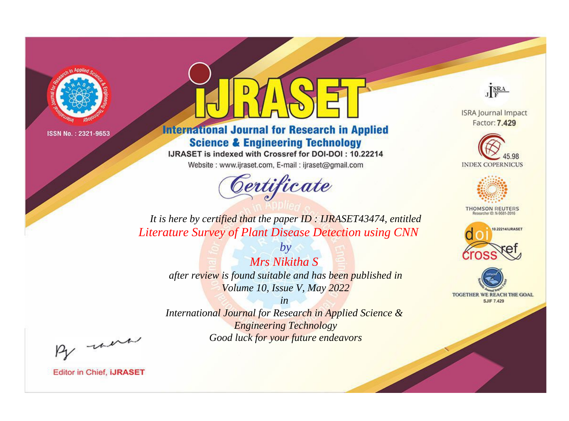

# **International Journal for Research in Applied Science & Engineering Technology**

IJRASET is indexed with Crossref for DOI-DOI: 10.22214

Website: www.ijraset.com, E-mail: ijraset@gmail.com



JERA

**ISRA Journal Impact** Factor: 7.429





**THOMSON REUTERS** 



TOGETHER WE REACH THE GOAL **SJIF 7.429** 

*It is here by certified that the paper ID : IJRASET43474, entitled Literature Survey of Plant Disease Detection using CNN*

> *by Mrs Nikitha S after review is found suitable and has been published in Volume 10, Issue V, May 2022*

> > *in*

*International Journal for Research in Applied Science & Engineering Technology Good luck for your future endeavors*

By morn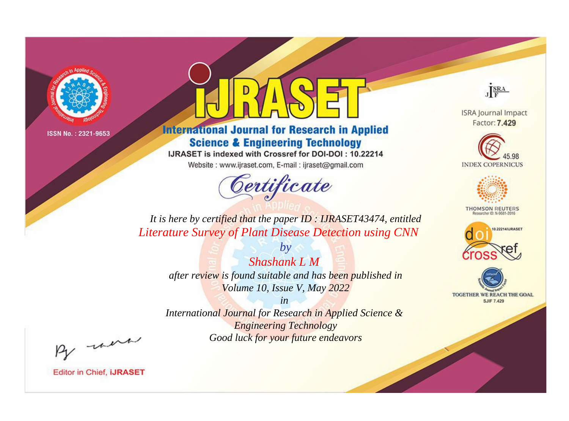

# **International Journal for Research in Applied Science & Engineering Technology**

IJRASET is indexed with Crossref for DOI-DOI: 10.22214

Website: www.ijraset.com, E-mail: ijraset@gmail.com



JERA

**ISRA Journal Impact** Factor: 7.429





**THOMSON REUTERS** 



TOGETHER WE REACH THE GOAL **SJIF 7.429** 

It is here by certified that the paper ID: IJRASET43474, entitled **Literature Survey of Plant Disease Detection using CNN** 

> $b\nu$ **Shashank L M** after review is found suitable and has been published in Volume 10, Issue V, May 2022

 $in$ International Journal for Research in Applied Science & **Engineering Technology** Good luck for your future endeavors

By morn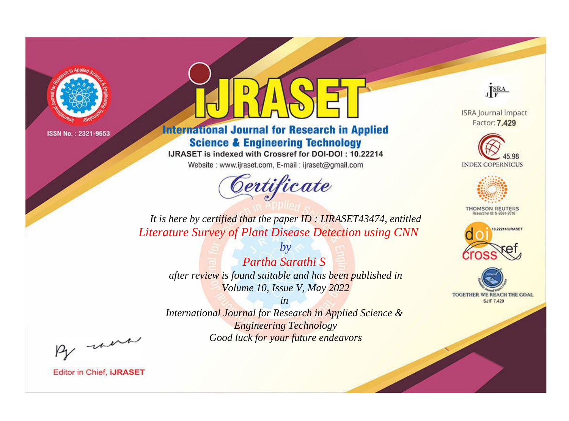

# **International Journal for Research in Applied Science & Engineering Technology**

IJRASET is indexed with Crossref for DOI-DOI: 10.22214

Website: www.ijraset.com, E-mail: ijraset@gmail.com



JERA

**ISRA Journal Impact** Factor: 7.429





**THOMSON REUTERS** 



TOGETHER WE REACH THE GOAL **SJIF 7.429** 

It is here by certified that the paper ID: IJRASET43474, entitled **Literature Survey of Plant Disease Detection using CNN** 

> Partha Sarathi S after review is found suitable and has been published in Volume 10, Issue V, May 2022

 $b\nu$ 

 $in$ International Journal for Research in Applied Science & **Engineering Technology** 

Good luck for your future endeavors

By morn